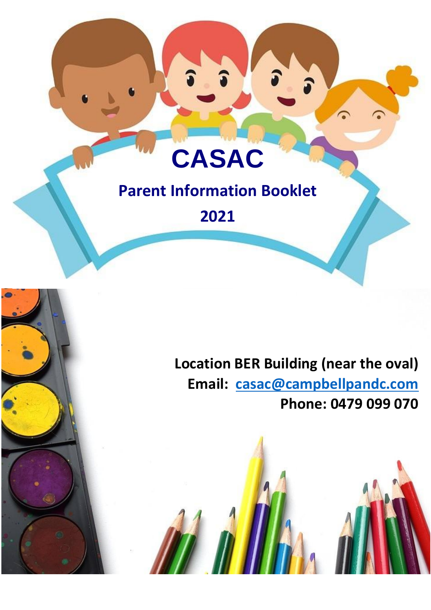# **CASAC**

## **Parent Information Booklet**

**2021**

### **Location BER Building (near the oval) Email: [casac@campbellpandc.com](mailto:casac@campbellpandc.com) Phone: 0479 099 070**

**CASAC PARTICIPATION 2021**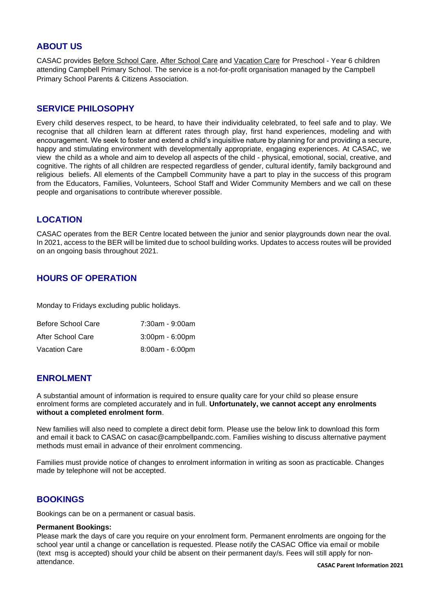#### **ABOUT US**

CASAC provides Before School Care, After School Care and Vacation Care for Preschool - Year 6 children attending Campbell Primary School. The service is a not-for-profit organisation managed by the Campbell Primary School Parents & Citizens Association.

#### **SERVICE PHILOSOPHY**

Every child deserves respect, to be heard, to have their individuality celebrated, to feel safe and to play. We recognise that all children learn at different rates through play, first hand experiences, modeling and with encouragement. We seek to foster and extend a child's inquisitive nature by planning for and providing a secure, happy and stimulating environment with developmentally appropriate, engaging experiences. At CASAC, we view the child as a whole and aim to develop all aspects of the child - physical, emotional, social, creative, and cognitive. The rights of all children are respected regardless of gender, cultural identify, family background and religious beliefs. All elements of the Campbell Community have a part to play in the success of this program from the Educators, Families, Volunteers, School Staff and Wider Community Members and we call on these people and organisations to contribute wherever possible.

#### **LOCATION**

CASAC operates from the BER Centre located between the junior and senior playgrounds down near the oval. In 2021, access to the BER will be limited due to school building works. Updates to access routes will be provided on an ongoing basis throughout 2021.

#### **HOURS OF OPERATION**

Monday to Fridays excluding public holidays.

| Before School Care   | 7:30am - 9:00am                   |
|----------------------|-----------------------------------|
| After School Care    | $3:00 \text{pm} - 6:00 \text{pm}$ |
| <b>Vacation Care</b> | 8:00am - 6:00pm                   |

#### **ENROLMENT**

A substantial amount of information is required to ensure quality care for your child so please ensure enrolment forms are completed accurately and in full. **Unfortunately, we cannot accept any enrolments without a completed enrolment form**.

New families will also need to complete a direct debit form. Please use the below link to download this form and email it back to CASAC on casac@campbellpandc.com. Families wishing to discuss alternative payment methods must email in advance of their enrolment commencing.

Families must provide notice of changes to enrolment information in writing as soon as practicable. Changes made by telephone will not be accepted.

#### **BOOKINGS**

Bookings can be on a permanent or casual basis.

#### **Permanent Bookings:**

Please mark the days of care you require on your enrolment form. Permanent enrolments are ongoing for the school year until a change or cancellation is requested. Please notify the CASAC Office via email or mobile (text msg is accepted) should your child be absent on their permanent day/s. Fees will still apply for nonattendance.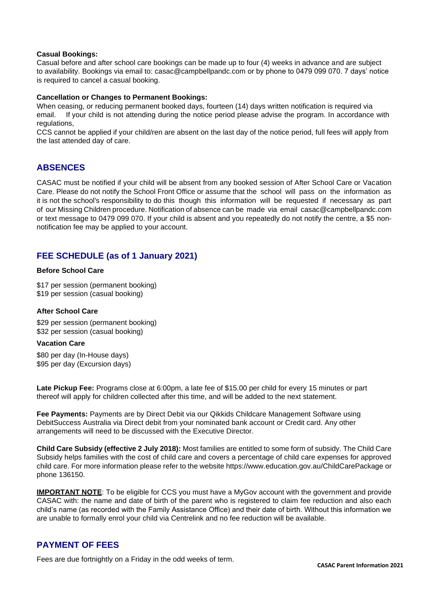#### **Casual Bookings:**

Casual before and after school care bookings can be made up to four (4) weeks in advance and are subject to availability. Bookings via email to: [casac@campbellpandc.com o](mailto:casac@campbellpandc.com)r by phone to 0479 099 070. 7 days' notice is required to cancel a casual booking.

#### **Cancellation or Changes to Permanent Bookings:**

When ceasing, or reducing permanent booked days, fourteen (14) days written notification is required via email. If your child is not attending during the notice period please advise the program. In accordance with regulations,

CCS cannot be applied if your child/ren are absent on the last day of the notice period, full fees will apply from the last attended day of care.

#### **ABSENCES**

CASAC must be notified if your child will be absent from any booked session of After School Care or Vacation Care. Please do not notify the School Front Office or assume that the school will pass on the information as it is not the school's responsibility to do this though this information will be requested if necessary as part of our Missing Children procedure. Notification of absence can be made via email [casac@campbellpandc.com](mailto:casac@campbellpandc.com)  or text message to 0479 099 070. If your child is absent and you repeatedly do not notify the centre, a \$5 nonnotification fee may be applied to your account.

#### **FEE SCHEDULE (as of 1 January 2021)**

#### **Before School Care**

\$17 per session (permanent booking) \$19 per session (casual booking)

#### **After School Care**

\$29 per session (permanent booking) \$32 per session (casual booking)

#### **Vacation Care**

\$80 per day (In-House days) \$95 per day (Excursion days)

Late Pickup Fee: Programs close at 6:00pm, a late fee of \$15.00 per child for every 15 minutes or part thereof will apply for children collected after this time, and will be added to the next statement.

**Fee Payments:** Payments are by Direct Debit via our Qikkids Childcare Management Software using DebitSuccess Australia via Direct debit from your nominated bank account or Credit card. Any other arrangements will need to be discussed with the Executive Director.

**Child Care Subsidy (effective 2 July 2018):** Most families are entitled to some form of subsidy. The Child Care Subsidy helps families with the cost of child care and covers a percentage of child care expenses for approved child care. For more information please refer to the websit[e https://www.education.gov.au/ChildCarePackage](http://www.education.gov.au/ChildCarePackage) or phone 136150.

**IMPORTANT NOTE**: To be eligible for CCS you must have a MyGov account with the government and provide CASAC with: the name and date of birth of the parent who is registered to claim fee reduction and also each child's name (as recorded with the Family Assistance Office) and their date of birth. Without this information we are unable to formally enrol your child via Centrelink and no fee reduction will be available.

#### **PAYMENT OF FEES**

Fees are due fortnightly on a Friday in the odd weeks of term.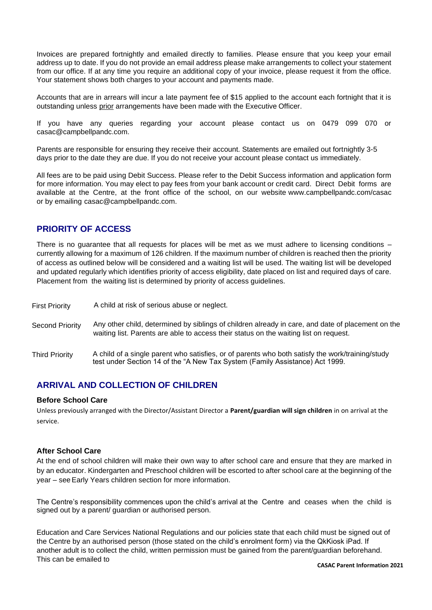Invoices are prepared fortnightly and emailed directly to families. Please ensure that you keep your email address up to date. If you do not provide an email address please make arrangements to collect your statement from our office. If at any time you require an additional copy of your invoice, please request it from the office. Your statement shows both charges to your account and payments made.

Accounts that are in arrears will incur a late payment fee of \$15 applied to the account each fortnight that it is outstanding unless prior arrangements have been made with the Executive Officer.

If you have any queries regarding your account please contact us on 0479 099 070 or [casac@campbellpandc.com.](mailto:casac@campbellpandc.com)

Parents are responsible for ensuring they receive their account. Statements are emailed out fortnightly 3-5 days prior to the date they are due. If you do not receive your account please contact us immediately.

All fees are to be paid using Debit Success. Please refer to the Debit Success information and application form for more information. You may elect to pay fees from your bank account or credit card. Direct Debit forms are available at the Centre, at the front office of the school, on our website [www.campbellpandc.com/casac](http://www.campbellpandc.com/casac) or by emailing [casac@campbellpandc.com.](mailto:casac@campbellpandc.com)

#### **PRIORITY OF ACCESS**

There is no guarantee that all requests for places will be met as we must adhere to licensing conditions – currently allowing for a maximum of 126 children. If the maximum number of children is reached then the priority of access as outlined below will be considered and a waiting list will be used. The waiting list will be developed and updated regularly which identifies priority of access eligibility, date placed on list and required days of care. Placement from the waiting list is determined by priority of access guidelines.

First Priority A child at risk of serious abuse or neglect.

- Second Priority Any other child, determined by siblings of children already in care, and date of placement on the waiting list. Parents are able to access their status on the waiting list on request.
- Third Priority A child of a single parent who satisfies, or of parents who both satisfy the work/training/study test under Section 14 of the "A New Tax System (Family Assistance) Act 1999.

#### **ARRIVAL AND COLLECTION OF CHILDREN**

#### **Before School Care**

Unless previously arranged with the Director/Assistant Director a **Parent/guardian will sign children** in on arrival at the service.

#### **After School Care**

At the end of school children will make their own way to after school care and ensure that they are marked in by an educator. Kindergarten and Preschool children will be escorted to after school care at the beginning of the year – seeEarly Years children section for more information.

The Centre's responsibility commences upon the child's arrival at the Centre and ceases when the child is signed out by a parent/ guardian or authorised person.

Education and Care Services National Regulations and our policies state that each child must be signed out of the Centre by an authorised person (those stated on the child's enrolment form) via the QkKiosk iPad. If another adult is to collect the child, written permission must be gained from the parent/guardian beforehand. This can be emailed to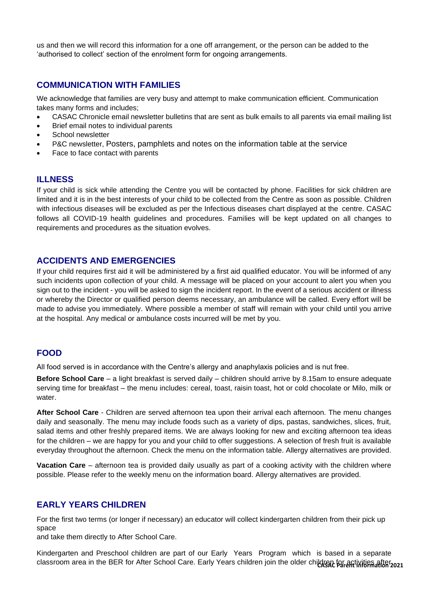us and then we will record this information for a one off arrangement, or the person can be added to the 'authorised to collect' section of the enrolment form for ongoing arrangements.

#### **COMMUNICATION WITH FAMILIES**

We acknowledge that families are very busy and attempt to make communication efficient. Communication takes many forms and includes;

- CASAC Chronicle email newsletter bulletins that are sent as bulk emails to all parents via email mailing list
- Brief email notes to individual parents
- School newsletter
- P&C newsletter, Posters, pamphlets and notes on the information table at the service
- Face to face contact with parents

#### **ILLNESS**

If your child is sick while attending the Centre you will be contacted by phone. Facilities for sick children are limited and it is in the best interests of your child to be collected from the Centre as soon as possible. Children with infectious diseases will be excluded as per the Infectious diseases chart displayed at the centre. CASAC follows all COVID-19 health guidelines and procedures. Families will be kept updated on all changes to requirements and procedures as the situation evolves.

#### **ACCIDENTS AND EMERGENCIES**

If your child requires first aid it will be administered by a first aid qualified educator. You will be informed of any such incidents upon collection of your child. A message will be placed on your account to alert you when you sign out to the incident - you will be asked to sign the incident report. In the event of a serious accident or illness or whereby the Director or qualified person deems necessary, an ambulance will be called. Every effort will be made to advise you immediately. Where possible a member of staff will remain with your child until you arrive at the hospital. Any medical or ambulance costs incurred will be met by you.

#### **FOOD**

All food served is in accordance with the Centre's allergy and anaphylaxis policies and is nut free.

**Before School Care** – a light breakfast is served daily – children should arrive by 8.15am to ensure adequate serving time for breakfast – the menu includes: cereal, toast, raisin toast, hot or cold chocolate or Milo, milk or water.

**After School Care** - Children are served afternoon tea upon their arrival each afternoon. The menu changes daily and seasonally. The menu may include foods such as a variety of dips, pastas, sandwiches, slices, fruit, salad items and other freshly prepared items. We are always looking for new and exciting afternoon tea ideas for the children – we are happy for you and your child to offer suggestions. A selection of fresh fruit is available everyday throughout the afternoon. Check the menu on the information table. Allergy alternatives are provided.

**Vacation Care** – afternoon tea is provided daily usually as part of a cooking activity with the children where possible. Please refer to the weekly menu on the information board. Allergy alternatives are provided.

#### **EARLY YEARS CHILDREN**

For the first two terms (or longer if necessary) an educator will collect kindergarten children from their pick up space

and take them directly to After School Care.

classroom area in the BER for After School Care. Early Years children join the older children for activities after Kindergarten and Preschool children are part of our Early Years Program which is based in a separate